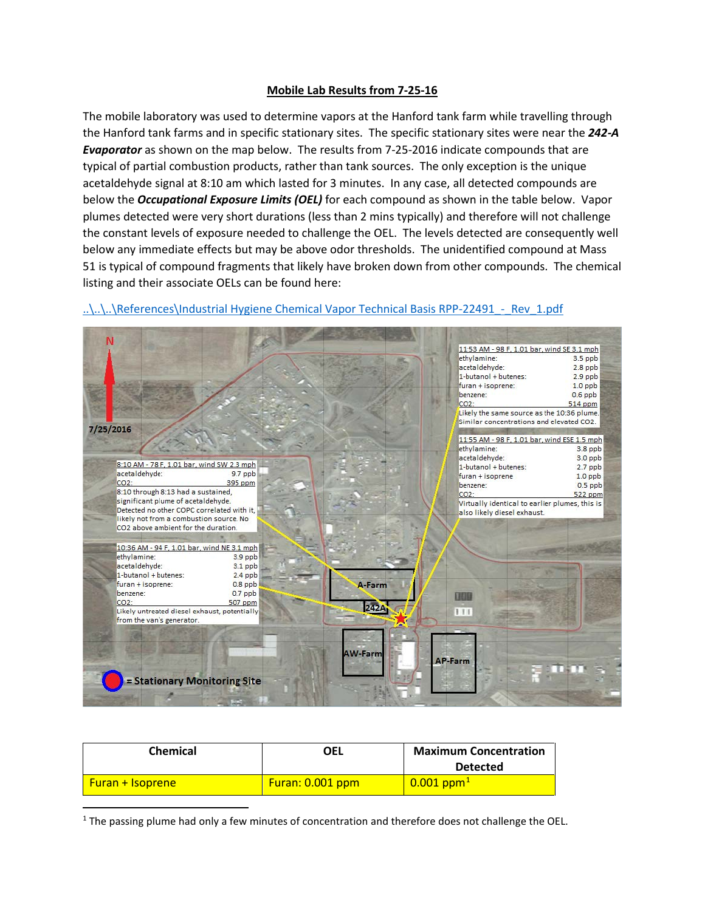## **Mobile Lab Results from 7-25-16**

The mobile laboratory was used to determine vapors at the Hanford tank farm while travelling through the Hanford tank farms and in specific stationary sites. The specific stationary sites were near the *242-A Evaporator* as shown on the map below. The results from 7-25-2016 indicate compounds that are typical of partial combustion products, rather than tank sources. The only exception is the unique acetaldehyde signal at 8:10 am which lasted for 3 minutes. In any case, all detected compounds are below the *Occupational Exposure Limits (OEL)* for each compound as shown in the table below. Vapor plumes detected were very short durations (less than 2 mins typically) and therefore will not challenge the constant levels of exposure needed to challenge the OEL. The levels detected are consequently well below any immediate effects but may be above odor thresholds. The unidentified compound at Mass 51 is typical of compound fragments that likely have broken down from other compounds. The chemical listing and their associate OELs can be found here:



## ..\..\..\References\Industrial Hygiene Chemical Vapor Technical Basis RPP-22491 - Rev\_1.pdf

| <b>Chemical</b>         | OEL                | <b>Maximum Concentration</b> |
|-------------------------|--------------------|------------------------------|
|                         |                    | <b>Detected</b>              |
| <b>Furan + Isoprene</b> | Furan: $0.001$ ppm | $0.001$ ppm <sup>1</sup>     |

<span id="page-0-0"></span> $1$  The passing plume had only a few minutes of concentration and therefore does not challenge the OEL.